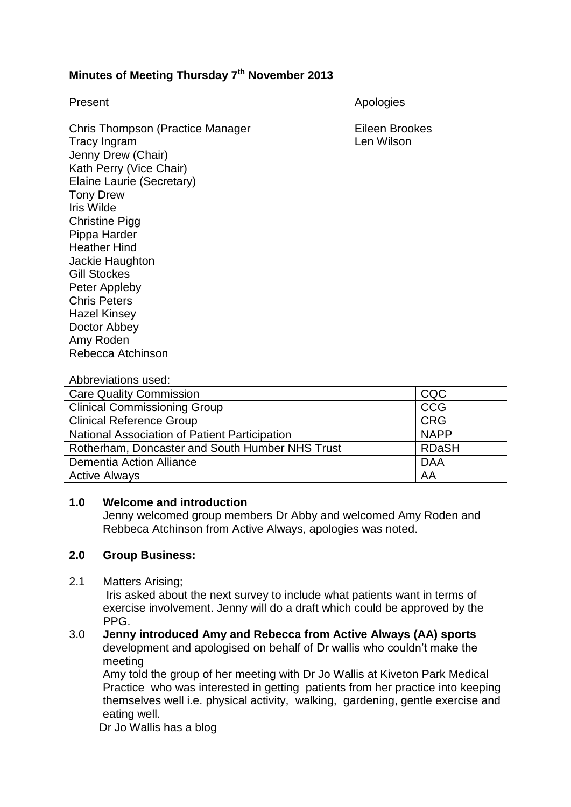# **Minutes of Meeting Thursday 7th November 2013**

Chris Thompson (Practice Manager Fileen Brookes Tracy Ingram Len Wilson Jenny Drew (Chair) Kath Perry (Vice Chair) Elaine Laurie (Secretary) Tony Drew Iris Wilde Christine Pigg Pippa Harder Heather Hind Jackie Haughton Gill Stockes Peter Appleby Chris Peters Hazel Kinsey Doctor Abbey Amy Roden

Present Apologies Apologies

Abbreviations used:

Rebecca Atchinson

| <b>Care Quality Commission</b>                  | CQC          |
|-------------------------------------------------|--------------|
| <b>Clinical Commissioning Group</b>             | <b>CCG</b>   |
| <b>Clinical Reference Group</b>                 | <b>CRG</b>   |
| National Association of Patient Participation   | <b>NAPP</b>  |
| Rotherham, Doncaster and South Humber NHS Trust | <b>RDaSH</b> |
| Dementia Action Alliance                        | <b>DAA</b>   |
| <b>Active Always</b>                            | AA           |

# **1.0 Welcome and introduction**

Jenny welcomed group members Dr Abby and welcomed Amy Roden and Rebbeca Atchinson from Active Always, apologies was noted.

### **2.0 Group Business:**

2.1 Matters Arising;

Iris asked about the next survey to include what patients want in terms of exercise involvement. Jenny will do a draft which could be approved by the PPG.

3.0 **Jenny introduced Amy and Rebecca from Active Always (AA) sports** development and apologised on behalf of Dr wallis who couldn't make the meeting

Amy told the group of her meeting with Dr Jo Wallis at Kiveton Park Medical Practice who was interested in getting patients from her practice into keeping themselves well i.e. physical activity, walking, gardening, gentle exercise and eating well.

Dr Jo Wallis has a blog